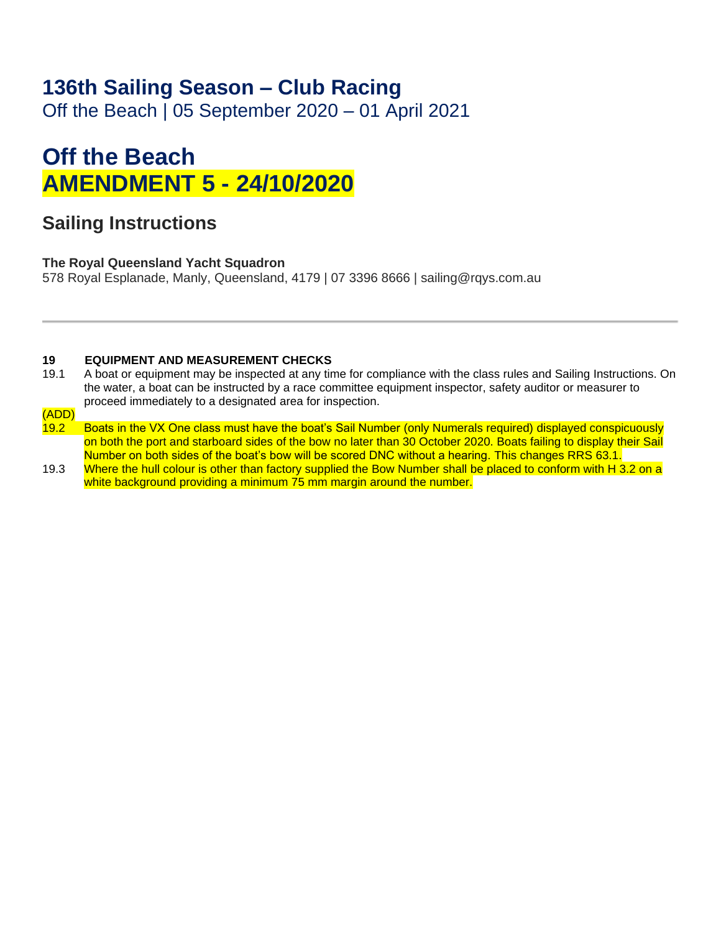## **136th Sailing Season – Club Racing**

Off the Beach | 05 September 2020 – 01 April 2021

# **Off the Beach AMENDMENT 5 - 24/10/2020**

### **Sailing Instructions**

### **The Royal Queensland Yacht Squadron**

578 Royal Esplanade, Manly, Queensland, 4179 | 07 3396 8666 | sailing@rqys.com.au

#### **19 EQUIPMENT AND MEASUREMENT CHECKS**

- 19.1 A boat or equipment may be inspected at any time for compliance with the class rules and Sailing Instructions. On the water, a boat can be instructed by a race committee equipment inspector, safety auditor or measurer to proceed immediately to a designated area for inspection.
- (ADD)
- 19.2 Boats in the VX One class must have the boat's Sail Number (only Numerals required) displayed conspicuously on both the port and starboard sides of the bow no later than 30 October 2020. Boats failing to display their Sail Number on both sides of the boat's bow will be scored DNC without a hearing. This changes RRS 63.1.
- 19.3 Where the hull colour is other than factory supplied the Bow Number shall be placed to conform with H 3.2 on a white background providing a minimum 75 mm margin around the number.